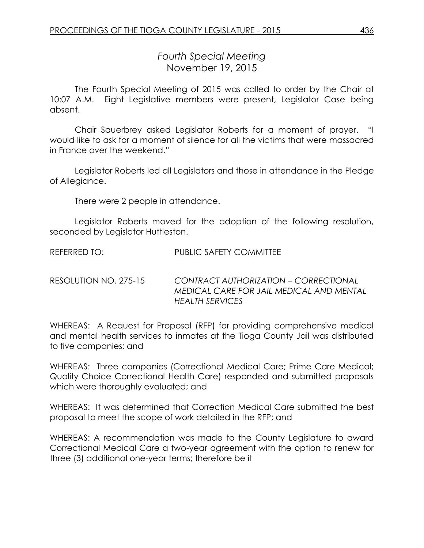## *Fourth Special Meeting* November 19, 2015

The Fourth Special Meeting of 2015 was called to order by the Chair at 10:07 A.M. Eight Legislative members were present, Legislator Case being absent.

Chair Sauerbrey asked Legislator Roberts for a moment of prayer. "I would like to ask for a moment of silence for all the victims that were massacred in France over the weekend."

Legislator Roberts led all Legislators and those in attendance in the Pledge of Allegiance.

There were 2 people in attendance.

Legislator Roberts moved for the adoption of the following resolution, seconded by Legislator Huttleston.

REFERRED TO: PUBLIC SAFETY COMMITTEE

RESOLUTION NO. 275-15 *CONTRACT AUTHORIZATION – CORRECTIONAL MEDICAL CARE FOR JAIL MEDICAL AND MENTAL HEALTH SERVICES* 

WHEREAS: A Request for Proposal (RFP) for providing comprehensive medical and mental health services to inmates at the Tioga County Jail was distributed to five companies; and

WHEREAS: Three companies (Correctional Medical Care; Prime Care Medical; Quality Choice Correctional Health Care) responded and submitted proposals which were thoroughly evaluated; and

WHEREAS: It was determined that Correction Medical Care submitted the best proposal to meet the scope of work detailed in the RFP; and

WHEREAS: A recommendation was made to the County Legislature to award Correctional Medical Care a two-year agreement with the option to renew for three (3) additional one-year terms; therefore be it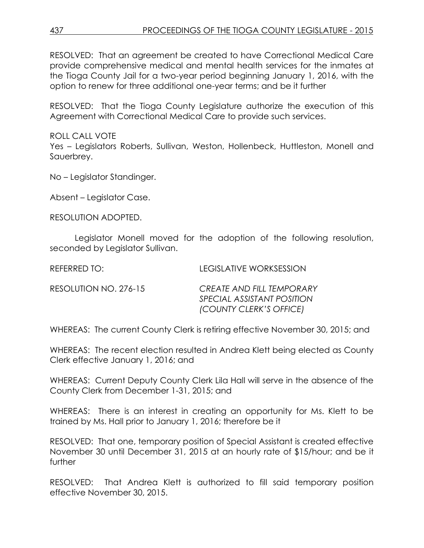RESOLVED: That an agreement be created to have Correctional Medical Care provide comprehensive medical and mental health services for the inmates at the Tioga County Jail for a two-year period beginning January 1, 2016, with the option to renew for three additional one-year terms; and be it further

RESOLVED: That the Tioga County Legislature authorize the execution of this Agreement with Correctional Medical Care to provide such services.

ROLL CALL VOTE Yes – Legislators Roberts, Sullivan, Weston, Hollenbeck, Huttleston, Monell and Sauerbrey.

No – Legislator Standinger.

Absent – Legislator Case.

RESOLUTION ADOPTED.

Legislator Monell moved for the adoption of the following resolution, seconded by Leaislator Sullivan.

| REFERRED TO:          | LEGISLATIVE WORKSESSION                                                                   |
|-----------------------|-------------------------------------------------------------------------------------------|
| RESOLUTION NO. 276-15 | CREATE AND FILL TEMPORARY<br><i>SPECIAL ASSISTANT POSITION</i><br>(COUNTY CLERK'S OFFICE) |

WHEREAS: The current County Clerk is retiring effective November 30, 2015; and

WHEREAS: The recent election resulted in Andrea Klett being elected as County Clerk effective January 1, 2016; and

WHEREAS: Current Deputy County Clerk Lila Hall will serve in the absence of the County Clerk from December 1-31, 2015; and

WHEREAS: There is an interest in creating an opportunity for Ms. Klett to be trained by Ms. Hall prior to January 1, 2016; therefore be it

RESOLVED: That one, temporary position of Special Assistant is created effective November 30 until December 31, 2015 at an hourly rate of \$15/hour; and be it further

RESOLVED: That Andrea Klett is authorized to fill said temporary position effective November 30, 2015.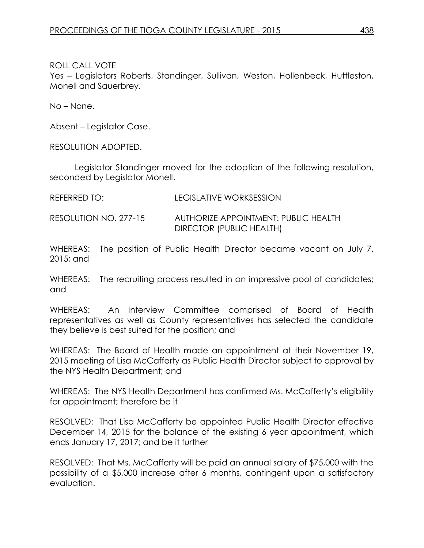ROLL CALL VOTE

Yes – Legislators Roberts, Standinger, Sullivan, Weston, Hollenbeck, Huttleston, Monell and Sauerbrey.

No – None.

Absent – Legislator Case.

RESOLUTION ADOPTED.

Legislator Standinger moved for the adoption of the following resolution, seconded by Legislator Monell.

REFERRED TO: LEGISLATIVE WORKSESSION

RESOLUTION NO. 277-15 AUTHORIZE APPOINTMENT: PUBLIC HEALTH DIRECTOR (PUBLIC HEALTH)

WHEREAS: The position of Public Health Director became vacant on July 7, 2015; and

WHEREAS: The recruiting process resulted in an impressive pool of candidates; and

WHEREAS: An Interview Committee comprised of Board of Health representatives as well as County representatives has selected the candidate they believe is best suited for the position; and

WHEREAS: The Board of Health made an appointment at their November 19, 2015 meeting of Lisa McCafferty as Public Health Director subject to approval by the NYS Health Department; and

WHEREAS: The NYS Health Department has confirmed Ms. McCafferty's eligibility for appointment; therefore be it

RESOLVED: That Lisa McCafferty be appointed Public Health Director effective December 14, 2015 for the balance of the existing 6 year appointment, which ends January 17, 2017; and be it further

RESOLVED: That Ms. McCafferty will be paid an annual salary of \$75,000 with the possibility of a \$5,000 increase after 6 months, contingent upon a satisfactory evaluation.